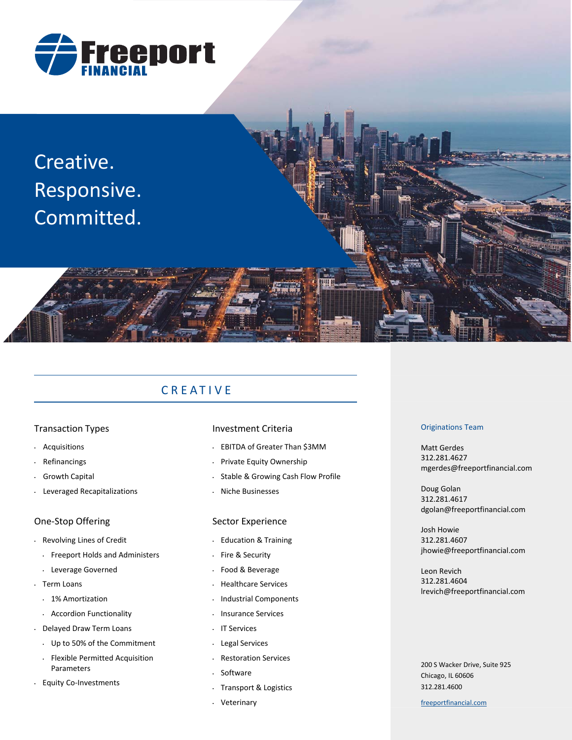

Creative. Responsive. Committed.

# CREATIVE

## Transaction Types

- Acquisitions
- Refinancings
- Growth Capital
- Leveraged Recapitalizations

## One‐Stop Offering

- Revolving Lines of Credit
	- Freeport Holds and Administers
	- Leverage Governed
- Term Loans
- 1% Amortization
- Accordion Functionality
- Delayed Draw Term Loans
	- Up to 50% of the Commitment
	- Flexible Permitted Acquisition Parameters
- Equity Co‐Investments

## Investment Criteria

- EBITDA of Greater Than \$3MM
- Private Equity Ownership
- Stable & Growing Cash Flow Profile
- Niche Businesses

## Sector Experience

- Education & Training
- Fire & Security
- Food & Beverage
- Healthcare Services
- Industrial Components
- Insurance Services
- IT Services
- Legal Services
- Restoration Services
- **Software**
- Transport & Logistics
- Veterinary

#### Originations Team

Matt Gerdes 312.281.4627 mgerdes@freeportfinancial.com

Doug Golan 312.281.4617 dgolan@freeportfinancial.com

Josh Howie 312.281.4607 jhowie@freeportfinancial.com

Leon Revich 312.281.4604 lrevich@freeportfinancial.com

200 S Wacker Drive, Suite 925 Chicago, IL 60606 312.281.4600